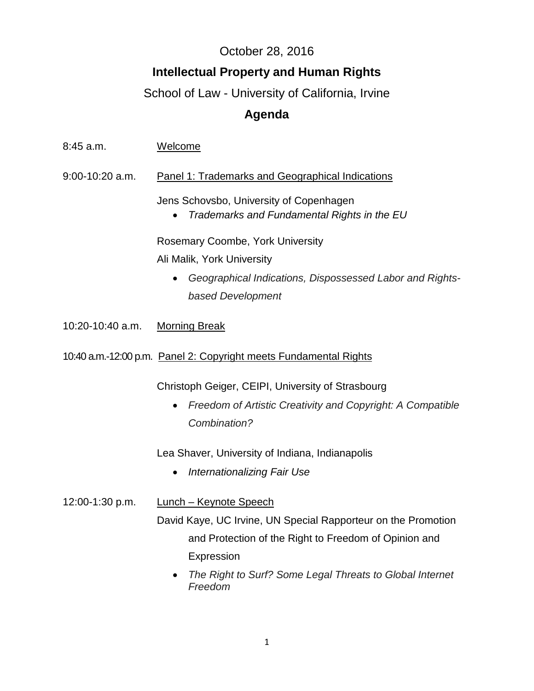## October 28, 2016

## **Intellectual Property and Human Rights**

## School of Law - University of California, Irvine

## **Agenda**

| 8:45 a.m.        | Welcome                                                                                |
|------------------|----------------------------------------------------------------------------------------|
| 9:00-10:20 a.m.  | <b>Panel 1: Trademarks and Geographical Indications</b>                                |
|                  | Jens Schovsbo, University of Copenhagen<br>Trademarks and Fundamental Rights in the EU |
|                  | <b>Rosemary Coombe, York University</b>                                                |
|                  | Ali Malik, York University                                                             |
|                  | Geographical Indications, Dispossessed Labor and Rights-                               |
|                  | based Development                                                                      |
| 10:20-10:40 a.m. | <b>Morning Break</b>                                                                   |
|                  | 10:40 a.m.-12:00 p.m. Panel 2: Copyright meets Fundamental Rights                      |
|                  | Christoph Geiger, CEIPI, University of Strasbourg                                      |
|                  | Freedom of Artistic Creativity and Copyright: A Compatible<br>Combination?             |
|                  | Lea Shaver, University of Indiana, Indianapolis                                        |
|                  | <b>Internationalizing Fair Use</b>                                                     |
| 12:00-1:30 p.m.  | <b>Lunch - Keynote Speech</b>                                                          |
|                  | David Kaye, UC Irvine, UN Special Rapporteur on the Promotion                          |
|                  | and Protection of the Right to Freedom of Opinion and                                  |
|                  | Expression                                                                             |
|                  | The Right to Surf? Some Legal Threats to Global Internet<br>Freedom                    |